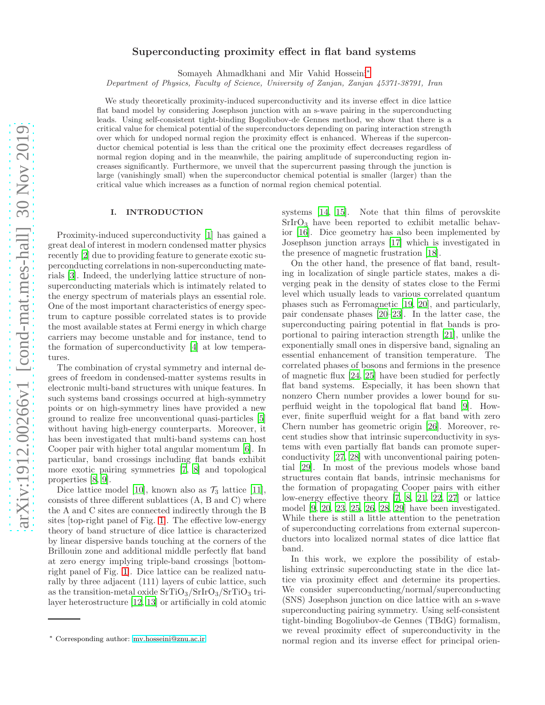# Superconducting proximity effect in flat band systems

Somayeh Ahmadkhani and Mir Vahid Hosseini[∗](#page-0-0)

Department of Physics, Faculty of Science, University of Zanjan, Zanjan 45371-38791, Iran

We study theoretically proximity-induced superconductivity and its inverse effect in dice lattice flat band model by considering Josephson junction with an s-wave pairing in the superconducting leads. Using self-consistent tight-binding Bogoliubov-de Gennes method, we show that there is a critical value for chemical potential of the superconductors depending on paring interaction strength over which for undoped normal region the proximity effect is enhanced. Whereas if the superconductor chemical potential is less than the critical one the proximity effect decreases regardless of normal region doping and in the meanwhile, the pairing amplitude of superconducting region increases significantly. Furthermore, we unveil that the supercurrent passing through the junction is large (vanishingly small) when the superconductor chemical potential is smaller (larger) than the critical value which increases as a function of normal region chemical potential.

#### I. INTRODUCTION

Proximity-induced superconductivity [\[1](#page-6-0)] has gained a great deal of interest in modern condensed matter physics recently [\[2](#page-6-1)] due to providing feature to generate exotic superconducting correlations in non-superconducting materials [\[3\]](#page-6-2). Indeed, the underlying lattice structure of nonsuperconducting materials which is intimately related to the energy spectrum of materials plays an essential role. One of the most important characteristics of energy spectrum to capture possible correlated states is to provide the most available states at Fermi energy in which charge carriers may become unstable and for instance, tend to the formation of superconductivity [\[4\]](#page-6-3) at low temperatures.

The combination of crystal symmetry and internal degrees of freedom in condensed-matter systems results in electronic multi-band structures with unique features. In such systems band crossings occurred at high-symmetry points or on high-symmetry lines have provided a new ground to realize free unconventional quasi-particles [\[5](#page-6-4)] without having high-energy counterparts. Moreover, it has been investigated that multi-band systems can host Cooper pair with higher total angular momentum [\[6](#page-6-5)]. In particular, band crossings including flat bands exhibit more exotic pairing symmetries [\[7,](#page-6-6) [8\]](#page-6-7) and topological properties [\[8,](#page-6-7) [9\]](#page-6-8).

Dice lattice model [\[10](#page-6-9)], known also as  $\mathcal{T}_3$  lattice [\[11\]](#page-6-10), consists of three different sublattices (A, B and C) where the A and C sites are connected indirectly through the B sites [top-right panel of Fig. [1\]](#page-1-0). The effective low-energy theory of band structure of dice lattice is characterized by linear dispersive bands touching at the corners of the Brillouin zone and additional middle perfectly flat band at zero energy implying triple-band crossings [bottomright panel of Fig. [1\]](#page-1-0). Dice lattice can be realized naturally by three adjacent (111) layers of cubic lattice, such as the transition-metal oxide  $SrTiO<sub>3</sub>/SrIrO<sub>3</sub>/SrTiO<sub>3</sub> tri$ layer heterostructure [\[12](#page-6-11), [13\]](#page-6-12) or artificially in cold atomic

systems [\[14,](#page-6-13) [15](#page-6-14)]. Note that thin films of perovskite  $SrirO<sub>3</sub>$  have been reported to exhibit metallic behavior [\[16\]](#page-6-15). Dice geometry has also been implemented by Josephson junction arrays [\[17\]](#page-6-16) which is investigated in the presence of magnetic frustration [\[18\]](#page-6-17).

On the other hand, the presence of flat band, resulting in localization of single particle states, makes a diverging peak in the density of states close to the Fermi level which usually leads to various correlated quantum phases such as Ferromagnetic [\[19,](#page-6-18) [20](#page-6-19)], and particularly, pair condensate phases [\[20](#page-6-19)[–23\]](#page-6-20). In the latter case, the superconducting pairing potential in flat bands is proportional to pairing interaction strength [\[21\]](#page-6-21), unlike the exponentially small ones in dispersive band, signaling an essential enhancement of transition temperature. The correlated phases of bosons and fermions in the presence of magnetic flux [\[24](#page-6-22), [25](#page-6-23)] have been studied for perfectly flat band systems. Especially, it has been shown that nonzero Chern number provides a lower bound for superfluid weight in the topological flat band [\[9](#page-6-8)]. However, finite superfluid weight for a flat band with zero Chern number has geometric origin [\[26\]](#page-6-24). Moreover, recent studies show that intrinsic superconductivity in systems with even partially flat bands can promote superconductivity [\[27,](#page-6-25) [28](#page-6-26)] with unconventional pairing potential [\[29\]](#page-6-27). In most of the previous models whose band structures contain flat bands, intrinsic mechanisms for the formation of propagating Cooper pairs with either low-energy effective theory [\[7,](#page-6-6) [8](#page-6-7), [21,](#page-6-21) [22](#page-6-28), [27\]](#page-6-25) or lattice model [\[9,](#page-6-8) [20](#page-6-19), [23,](#page-6-20) [25](#page-6-23), [26,](#page-6-24) [28](#page-6-26), [29\]](#page-6-27) have been investigated. While there is still a little attention to the penetration of superconducting correlations from external superconductors into localized normal states of dice lattice flat band.

In this work, we explore the possibility of establishing extrinsic superconducting state in the dice lattice via proximity effect and determine its properties. We consider superconducting/normal/superconducting (SNS) Josephson junction on dice lattice with an s-wave superconducting pairing symmetry. Using self-consistent tight-binding Bogoliubov-de Gennes (TBdG) formalism, we reveal proximity effect of superconductivity in the normal region and its inverse effect for principal orien-

<span id="page-0-0"></span><sup>∗</sup> Corresponding author: [mv.hosseini@znu.ac.ir](mailto:mv.hosseini@znu.ac.ir)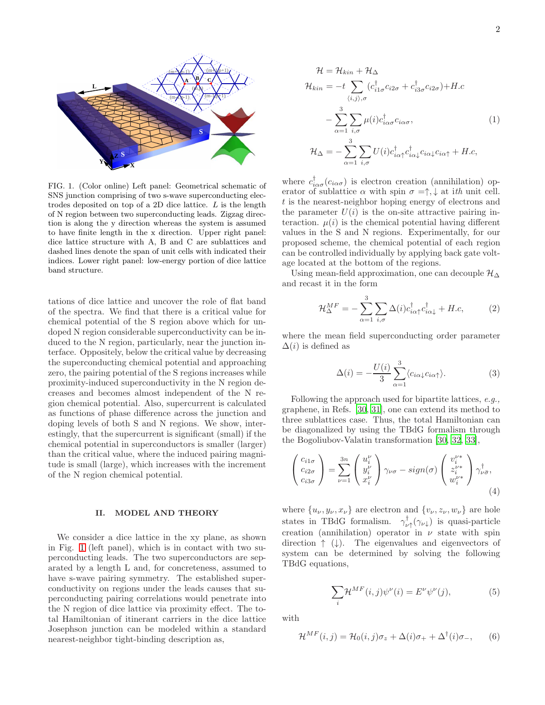

<span id="page-1-0"></span>FIG. 1. (Color online) Left panel: Geometrical schematic of SNS junction comprising of two s-wave superconducting electrodes deposited on top of a 2D dice lattice.  $L$  is the length of N region between two superconducting leads. Zigzag direction is along the y direction whereas the system is assumed to have finite length in the x direction. Upper right panel: dice lattice structure with A, B and C are sublattices and dashed lines denote the span of unit cells with indicated their indices. Lower right panel: low-energy portion of dice lattice band structure.

tations of dice lattice and uncover the role of flat band of the spectra. We find that there is a critical value for chemical potential of the S region above which for undoped N region considerable superconductivity can be induced to the N region, particularly, near the junction interface. Oppositely, below the critical value by decreasing the superconducting chemical potential and approaching zero, the pairing potential of the S regions increases while proximity-induced superconductivity in the N region decreases and becomes almost independent of the N region chemical potential. Also, supercurrent is calculated as functions of phase difference across the junction and doping levels of both S and N regions. We show, interestingly, that the supercurrent is significant (small) if the chemical potential in superconductors is smaller (larger) than the critical value, where the induced pairing magnitude is small (large), which increases with the increment of the N region chemical potential.

## II. MODEL AND THEORY

We consider a dice lattice in the xy plane, as shown in Fig. [1](#page-1-0) (left panel), which is in contact with two superconducting leads. The two superconductors are separated by a length L and, for concreteness, assumed to have s-wave pairing symmetry. The established superconductivity on regions under the leads causes that superconducting pairing correlations would penetrate into the N region of dice lattice via proximity effect. The total Hamiltonian of itinerant carriers in the dice lattice Josephson junction can be modeled within a standard nearest-neighbor tight-binding description as,

$$
\mathcal{H} = \mathcal{H}_{kin} + \mathcal{H}_{\Delta}
$$
\n
$$
\mathcal{H}_{kin} = -t \sum_{\langle i,j \rangle, \sigma} (c_{i1\sigma}^{\dagger} c_{i2\sigma} + c_{i3\sigma}^{\dagger} c_{i2\sigma}) + H.c
$$
\n
$$
- \sum_{\alpha=1}^{3} \sum_{i,\sigma} \mu(i) c_{i\alpha\sigma}^{\dagger} c_{i\alpha\sigma}, \qquad (1)
$$
\n
$$
\mathcal{H}_{\Delta} = - \sum_{\alpha=1}^{3} \sum_{i,\sigma} U(i) c_{i\alpha\uparrow}^{\dagger} c_{i\alpha\downarrow}^{\dagger} c_{i\alpha\downarrow} c_{i\alpha\uparrow} + H.c,
$$

where  $c_{i\alpha\sigma}^{\dagger}(c_{i\alpha\sigma})$  is electron creation (annihilation) operator of sublattice  $\alpha$  with spin  $\sigma = \uparrow, \downarrow$  at ith unit cell. t is the nearest-neighbor hoping energy of electrons and the parameter  $U(i)$  is the on-site attractive pairing interaction.  $\mu(i)$  is the chemical potential having different values in the S and N regions. Experimentally, for our proposed scheme, the chemical potential of each region can be controlled individually by applying back gate voltage located at the bottom of the regions.

Using mean-field approximation, one can decouple  $\mathcal{H}_{\Delta}$ and recast it in the form

$$
\mathcal{H}_{\Delta}^{MF} = -\sum_{\alpha=1}^{3} \sum_{i,\sigma} \Delta(i) c_{i\alpha\uparrow}^{\dagger} c_{i\alpha\downarrow}^{\dagger} + H.c,
$$
 (2)

where the mean field superconducting order parameter  $\Delta(i)$  is defined as

<span id="page-1-2"></span>
$$
\Delta(i) = -\frac{U(i)}{3} \sum_{\alpha=1}^{3} \langle c_{i\alpha\downarrow} c_{i\alpha\uparrow} \rangle.
$$
 (3)

Following the approach used for bipartite lattices, e.g., graphene, in Refs. [\[30,](#page-6-29) [31\]](#page-6-30), one can extend its method to three sublattices case. Thus, the total Hamiltonian can be diagonalized by using the TBdG formalism through the Bogoliubov-Valatin transformation [\[30,](#page-6-29) [32,](#page-6-31) [33\]](#page-6-32),

$$
\begin{pmatrix} c_{i1\sigma} \\ c_{i2\sigma} \\ c_{i3\sigma} \end{pmatrix} = \sum_{\nu=1}^{3n} \begin{pmatrix} u_i^{\nu} \\ y_i^{\nu} \\ x_i^{\nu} \end{pmatrix} \gamma_{\nu\sigma} - sign(\sigma) \begin{pmatrix} v_i^{\nu*} \\ z_i^{\nu*} \\ w_i^{\nu*} \end{pmatrix} \gamma_{\nu\bar{\sigma}}^{\dagger},
$$
\n(4)

where  $\{u_{\nu}, y_{\nu}, x_{\nu}\}\$  are electron and  $\{v_{\nu}, z_{\nu}, w_{\nu}\}\$  are hole states in TBdG formalism.  $\gamma^{\text{t}}_{\nu\uparrow}(\gamma_{\nu\downarrow})$  is quasi-particle creation (annihilation) operator in  $\nu$  state with spin direction  $\uparrow (\downarrow)$ . The eigenvalues and eigenvectors of system can be determined by solving the following TBdG equations,

<span id="page-1-3"></span><span id="page-1-1"></span>
$$
\sum_{i} \mathcal{H}^{MF}(i,j)\psi^{\nu}(i) = E^{\nu}\psi^{\nu}(j),\tag{5}
$$

with

$$
\mathcal{H}^{MF}(i,j) = \mathcal{H}_0(i,j)\sigma_z + \Delta(i)\sigma_+ + \Delta^{\dagger}(i)\sigma_-, \qquad (6)
$$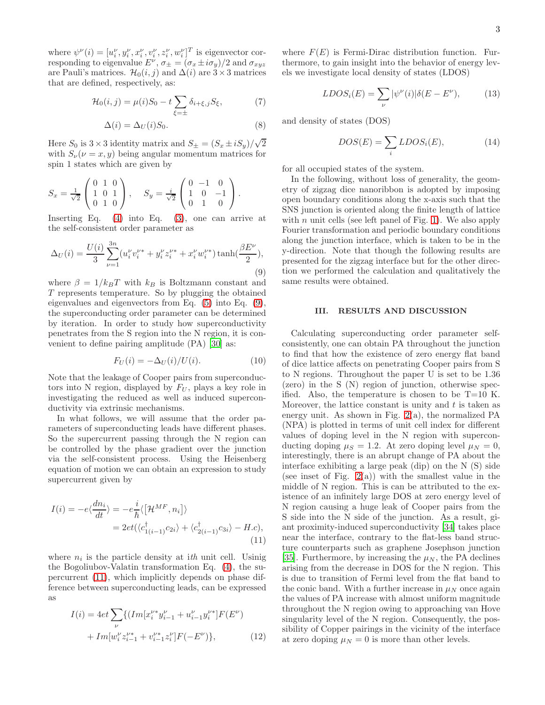where  $\psi^{\nu}(i) = [u_i^{\nu}, y_i^{\nu}, x_i^{\nu}, v_i^{\nu}, z_i^{\nu}, w_i^{\nu}]^T$  is eigenvector corresponding to eigenvalue  $E^{\nu}$ ,  $\sigma_{\pm} = (\sigma_x \pm i \sigma_y)/2$  and  $\sigma_{xyz}$ are Pauli's matrices.  $\mathcal{H}_0(i, j)$  and  $\Delta(i)$  are 3 × 3 matrices that are defined, respectively, as:

$$
\mathcal{H}_0(i,j) = \mu(i)S_0 - t \sum_{\xi = \pm} \delta_{i+\xi,j} S_\xi, \tag{7}
$$

$$
\Delta(i) = \Delta_U(i)S_0.
$$
\n(8)

Here  $S_0$  is  $3 \times 3$  identity matrix and  $S_{\pm} = (S_x \pm iS_y)/\sqrt{2}$ with  $S_{\nu}(\nu=x, y)$  being angular momentum matrices for spin 1 states which are given by

$$
S_x = \frac{1}{\sqrt{2}} \begin{pmatrix} 0 & 1 & 0 \\ 1 & 0 & 1 \\ 0 & 1 & 0 \end{pmatrix}, \quad S_y = \frac{i}{\sqrt{2}} \begin{pmatrix} 0 & -1 & 0 \\ 1 & 0 & -1 \\ 0 & 1 & 0 \end{pmatrix}.
$$

Inserting Eq. [\(4\)](#page-1-1) into Eq. [\(3\)](#page-1-2), one can arrive at the self-consistent order parameter as

<span id="page-2-0"></span>
$$
\Delta_U(i) = \frac{U(i)}{3} \sum_{\nu=1}^{3n} (u_i^{\nu} v_i^{\nu*} + y_i^{\nu} z_i^{\nu*} + x_i^{\nu} w_i^{\nu*}) \tanh(\frac{\beta E^{\nu}}{2}),
$$
\n(9)

where  $\beta = 1/k_BT$  with  $k_B$  is Boltzmann constant and T represents temperature. So by plugging the obtained eigenvalues and eigenvectors from Eq. [\(5\)](#page-1-3) into Eq. [\(9\)](#page-2-0), the superconducting order parameter can be determined by iteration. In order to study how superconductivity penetrates from the S region into the N region, it is convenient to define pairing amplitude (PA) [\[30\]](#page-6-29) as:

$$
F_U(i) = -\Delta_U(i)/U(i). \tag{10}
$$

Note that the leakage of Cooper pairs from superconductors into N region, displayed by  $F_U$ , plays a key role in investigating the reduced as well as induced superconductivity via extrinsic mechanisms.

In what follows, we will assume that the order parameters of superconducting leads have different phases. So the supercurrent passing through the N region can be controlled by the phase gradient over the junction via the self-consistent process. Using the Heisenberg equation of motion we can obtain an expression to study supercurrent given by

$$
I(i) = -e\langle \frac{dn_i}{dt} \rangle = -e\frac{i}{\hbar} \langle \left[ \mathcal{H}^{MF}, n_i \right] \rangle
$$
  
=  $2et(\langle c_{1(i-1)}^{\dagger} c_{2i} \rangle + \langle c_{2(i-1)}^{\dagger} c_{3i} \rangle - H.c),$  (11)

where  $n_i$  is the particle density at ith unit cell. Usinig the Bogoliubov-Valatin transformation Eq. [\(4\)](#page-1-1), the supercurrent [\(11\)](#page-2-1), which implicitly depends on phase difference between superconducting leads, can be expressed as

<span id="page-2-1"></span>
$$
I(i) = 4et \sum_{\nu} \{ (Im[x_i^{\nu*} y_{i-1}^{\nu} + u_{i-1}^{\nu} y_i^{\nu*}] F(E^{\nu}) + Im[w_i^{\nu} z_{i-1}^{\nu*} + v_{i-1}^{\nu*} z_i^{\nu}] F(-E^{\nu}) \},
$$
\n(12)

where  $F(E)$  is Fermi-Dirac distribution function. Furthermore, to gain insight into the behavior of energy levels we investigate local density of states (LDOS)

$$
LDOS_i(E) = \sum_{\nu} |\psi^{\nu}(i)| \delta(E - E^{\nu}), \tag{13}
$$

and density of states (DOS)

$$
DOS(E) = \sum_{i} LDOS_i(E),\tag{14}
$$

for all occupied states of the system.

In the following, without loss of generality, the geometry of zigzag dice nanoribbon is adopted by imposing open boundary conditions along the x-axis such that the SNS junction is oriented along the finite length of lattice with  $n$  unit cells (see left panel of Fig. [1\)](#page-1-0). We also apply Fourier transformation and periodic boundary conditions along the junction interface, which is taken to be in the y-direction. Note that though the following results are presented for the zigzag interface but for the other direction we performed the calculation and qualitatively the same results were obtained.

### III. RESULTS AND DISCUSSION

Calculating superconducting order parameter selfconsistently, one can obtain PA throughout the junction to find that how the existence of zero energy flat band of dice lattice affects on penetrating Cooper pairs from S to N regions. Throughout the paper U is set to be 1.36 (zero) in the S (N) region of junction, otherwise specified. Also, the temperature is chosen to be  $T=10$  K. Moreover, the lattice constant is unity and  $t$  is taken as energy unit. As shown in Fig.  $2(a)$  $2(a)$ , the normalized PA (NPA) is plotted in terms of unit cell index for different values of doping level in the N region with superconducting doping  $\mu_S = 1.2$ . At zero doping level  $\mu_N = 0$ , interestingly, there is an abrupt change of PA about the interface exhibiting a large peak (dip) on the N (S) side (see inset of Fig.  $2(a)$  $2(a)$ ) with the smallest value in the middle of N region. This is can be attributed to the existence of an infinitely large DOS at zero energy level of N region causing a huge leak of Cooper pairs from the S side into the N side of the junction. As a result, giant proximity-induced superconductivity [\[34](#page-7-0)] takes place near the interface, contrary to the flat-less band structure counterparts such as graphene Josephson junction [\[35\]](#page-7-1). Furthermore, by increasing the  $\mu_N$ , the PA declines arising from the decrease in DOS for the N region. This is due to transition of Fermi level from the flat band to the conic band. With a further increase in  $\mu<sub>N</sub>$  once again the values of PA increase with almost uniform magnitude throughout the N region owing to approaching van Hove singularity level of the N region. Consequently, the possibility of Copper pairings in the vicinity of the interface at zero doping  $\mu_N = 0$  is more than other levels.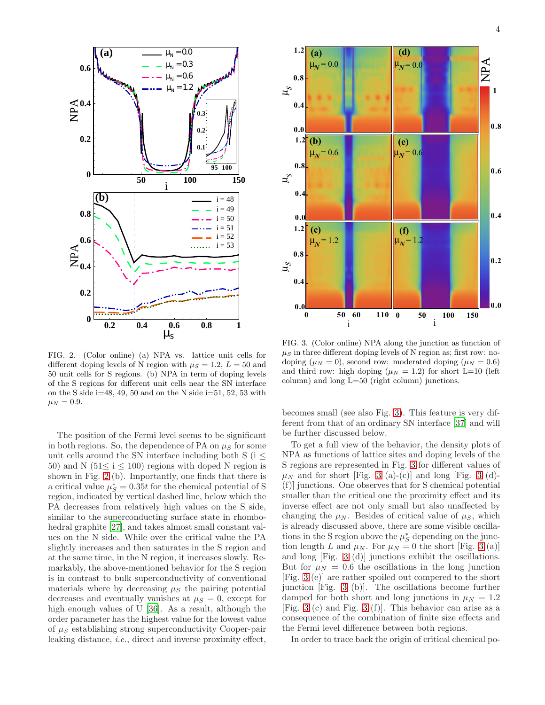

<span id="page-3-0"></span>FIG. 2. (Color online) (a) NPA vs. lattice unit cells for different doping levels of N region with  $\mu_S = 1.2, L = 50$  and 50 unit cells for S regions. (b) NPA in term of doping levels of the S regions for different unit cells near the SN interface on the S side i=48, 49, 50 and on the N side i=51, 52, 53 with  $\mu_N = 0.9.$ 

The position of the Fermi level seems to be significant in both regions. So, the dependence of PA on  $\mu<sub>S</sub>$  for some unit cells around the SN interface including both S ( $i \leq$ 50) and N ( $51 \le i \le 100$ ) regions with doped N region is shown in Fig. [2](#page-3-0) (b). Importantly, one finds that there is a critical value  $\mu_S^* = 0.35t$  for the chemical potential of S region, indicated by vertical dashed line, below which the PA decreases from relatively high values on the S side, similar to the superconducting surface state in rhombo-hedral graphite [\[27](#page-6-25)], and takes almost small constant values on the N side. While over the critical value the PA slightly increases and then saturates in the S region and at the same time, in the N region, it increases slowly. Remarkably, the above-mentioned behavior for the S region is in contrast to bulk superconductivity of conventional materials where by decreasing  $\mu<sub>S</sub>$  the pairing potential decreases and eventually vanishes at  $\mu_S = 0$ , except for high enough values of U [\[36](#page-7-2)]. As a result, although the order parameter has the highest value for the lowest value of  $\mu_S$  establishing strong superconductivity Cooper-pair leaking distance, i.e., direct and inverse proximity effect,



<span id="page-3-1"></span>FIG. 3. (Color online) NPA along the junction as function of  $\mu_S$  in three different doping levels of N region as; first row: nodoping ( $\mu_N = 0$ ), second row: moderated doping ( $\mu_N = 0.6$ ) and third row: high doping ( $\mu_N = 1.2$ ) for short L=10 (left column) and long L=50 (right column) junctions.

becomes small (see also Fig. [3\)](#page-3-1). This feature is very different from that of an ordinary SN interface [\[37\]](#page-7-3) and will be further discussed below.

To get a full view of the behavior, the density plots of NPA as functions of lattice sites and doping levels of the S regions are represented in Fig. [3](#page-3-1) for different values of  $\mu$ <sub>N</sub> and for short [Fig. [3](#page-3-1) (a)-(c)] and long [Fig. 3 (d)-(f)] junctions. One observes that for S chemical potential smaller than the critical one the proximity effect and its inverse effect are not only small but also unaffected by changing the  $\mu_N$ . Besides of critical value of  $\mu_S$ , which is already discussed above, there are some visible oscillations in the S region above the  $\mu_S^*$  depending on the junction length L and  $\mu_N$ . For  $\mu_N = 0$  the short [Fig. [3](#page-3-1) (a)] and long [Fig. [3](#page-3-1) (d)] junctions exhibit the oscillations. But for  $\mu_N = 0.6$  the oscillations in the long junction [Fig. [3](#page-3-1) (e)] are rather spoiled out compered to the short junction [Fig. [3](#page-3-1) (b)]. The oscillations become further damped for both short and long junctions in  $\mu = 1.2$ [Fig. [3](#page-3-1) (c) and Fig. [3](#page-3-1) (f)]. This behavior can arise as a consequence of the combination of finite size effects and the Fermi level difference between both regions.

In order to trace back the origin of critical chemical po-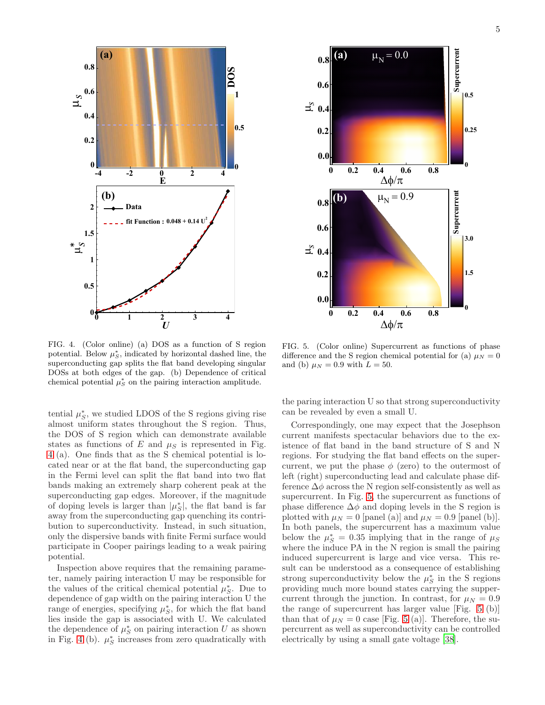

<span id="page-4-0"></span>FIG. 4. (Color online) (a) DOS as a function of S region potential. Below  $\mu_S^*$ , indicated by horizontal dashed line, the superconducting gap splits the flat band developing singular DOSs at both edges of the gap. (b) Dependence of critical chemical potential  $\mu_S^*$  on the pairing interaction amplitude.

tential  $\mu_S^*$ , we studied LDOS of the S regions giving rise almost uniform states throughout the S region. Thus, the DOS of S region which can demonstrate available states as functions of  $E$  and  $\mu_S$  is represented in Fig. [4](#page-4-0) (a). One finds that as the S chemical potential is located near or at the flat band, the superconducting gap in the Fermi level can split the flat band into two flat bands making an extremely sharp coherent peak at the superconducting gap edges. Moreover, if the magnitude of doping levels is larger than  $|\mu_S^*|$ , the flat band is far away from the superconducting gap quenching its contribution to superconductivity. Instead, in such situation, only the dispersive bands with finite Fermi surface would participate in Cooper pairings leading to a weak pairing potential.

Inspection above requires that the remaining parameter, namely pairing interaction U may be responsible for the values of the critical chemical potential  $\mu_S^*$ . Due to dependence of gap width on the pairing interaction U the range of energies, specifying  $\mu_S^*$ , for which the flat band lies inside the gap is associated with U. We calculated the dependence of  $\mu_S^*$  on pairing interaction U as shown in Fig. [4](#page-4-0) (b).  $\mu_S^*$  increases from zero quadratically with



<span id="page-4-1"></span>FIG. 5. (Color online) Supercurrent as functions of phase difference and the S region chemical potential for (a)  $\mu_N = 0$ and (b)  $\mu_N = 0.9$  with  $L = 50$ .

the paring interaction U so that strong superconductivity can be revealed by even a small U.

Correspondingly, one may expect that the Josephson current manifests spectacular behaviors due to the existence of flat band in the band structure of S and N regions. For studying the flat band effects on the supercurrent, we put the phase  $\phi$  (zero) to the outermost of left (right) superconducting lead and calculate phase difference  $\Delta\phi$  across the N region self-consistently as well as supercurrent. In Fig. [5,](#page-4-1) the supercurrent as functions of phase difference  $\Delta \phi$  and doping levels in the S region is plotted with  $\mu_N = 0$  [panel (a)] and  $\mu_N = 0.9$  [panel (b)]. In both panels, the supercurrent has a maximum value below the  $\mu_S^* = 0.35$  implying that in the range of  $\mu_S$ where the induce PA in the N region is small the pairing induced supercurrent is large and vice versa. This result can be understood as a consequence of establishing strong superconductivity below the  $\mu_S^*$  in the S regions providing much more bound states carrying the suppercurrent through the junction. In contrast, for  $\mu_N = 0.9$ the range of supercurrent has larger value [Fig. [5](#page-4-1) (b)] than that of  $\mu_N = 0$  case [Fig. [5](#page-4-1) (a)]. Therefore, the supercurrent as well as superconductivity can be controlled electrically by using a small gate voltage [\[38\]](#page-7-4).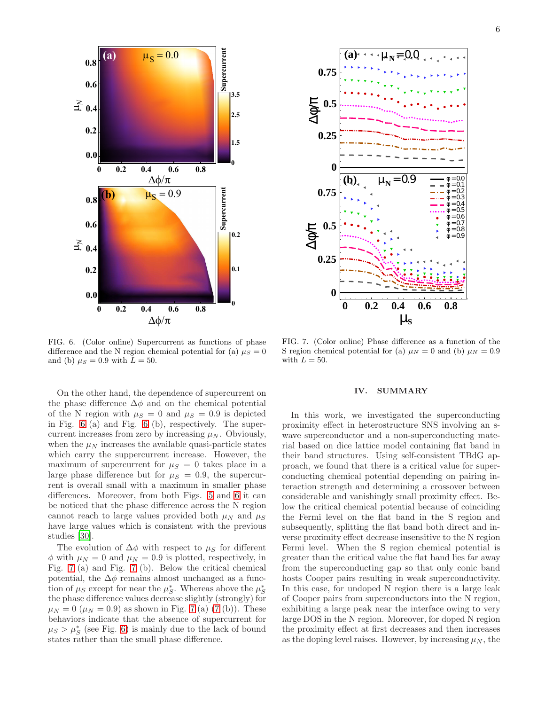

<span id="page-5-0"></span>FIG. 6. (Color online) Supercurrent as functions of phase difference and the N region chemical potential for (a)  $\mu_S = 0$ and (b)  $\mu_S = 0.9$  with  $L = 50$ .

On the other hand, the dependence of supercurrent on the phase difference  $\Delta \phi$  and on the chemical potential of the N region with  $\mu_S = 0$  and  $\mu_S = 0.9$  is depicted in Fig. [6](#page-5-0) (a) and Fig. [6](#page-5-0) (b), respectively. The supercurrent increases from zero by increasing  $\mu_N$ . Obviously, when the  $\mu_N$  increases the available quasi-particle states which carry the suppercurrent increase. However, the maximum of supercurrent for  $\mu_S = 0$  takes place in a large phase difference but for  $\mu_S = 0.9$ , the supercurrent is overall small with a maximum in smaller phase differences. Moreover, from both Figs. [5](#page-4-1) and [6](#page-5-0) it can be noticed that the phase difference across the N region cannot reach to large values provided both  $\mu_N$  and  $\mu_S$ have large values which is consistent with the previous studies [\[30](#page-6-29)].

The evolution of  $\Delta \phi$  with respect to  $\mu_S$  for different  $\phi$  with  $\mu_N = 0$  and  $\mu_N = 0.9$  is plotted, respectively, in Fig. [7](#page-5-1) (a) and Fig. [7](#page-5-1) (b). Below the critical chemical potential, the  $\Delta \phi$  remains almost unchanged as a function of  $\mu_S$  except for near the  $\mu_S^*$ . Whereas above the  $\mu_S^*$ the phase difference values decrease slightly (strongly) for  $\mu_N = 0 \ (\mu_N = 0.9)$  as shown in Fig. [7](#page-5-1) (a) [\(7](#page-5-1) (b)). These behaviors indicate that the absence of supercurrent for  $\mu_S > \mu_S^*$  (see Fig. [6\)](#page-5-0) is mainly due to the lack of bound states rather than the small phase difference.



<span id="page-5-1"></span>FIG. 7. (Color online) Phase difference as a function of the S region chemical potential for (a)  $\mu_N = 0$  and (b)  $\mu_N = 0.9$ with  $L = 50$ .

### IV. SUMMARY

In this work, we investigated the superconducting proximity effect in heterostructure SNS involving an swave superconductor and a non-superconducting material based on dice lattice model containing flat band in their band structures. Using self-consistent TBdG approach, we found that there is a critical value for superconducting chemical potential depending on pairing interaction strength and determining a crossover between considerable and vanishingly small proximity effect. Below the critical chemical potential because of coinciding the Fermi level on the flat band in the S region and subsequently, splitting the flat band both direct and inverse proximity effect decrease insensitive to the N region Fermi level. When the S region chemical potential is greater than the critical value the flat band lies far away from the superconducting gap so that only conic band hosts Cooper pairs resulting in weak superconductivity. In this case, for undoped N region there is a large leak of Cooper pairs from superconductors into the N region, exhibiting a large peak near the interface owing to very large DOS in the N region. Moreover, for doped N region the proximity effect at first decreases and then increases as the doping level raises. However, by increasing  $\mu_N$ , the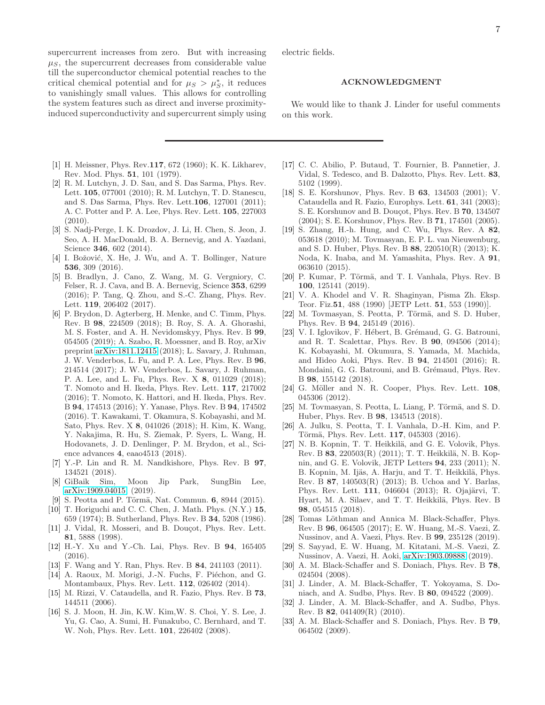supercurrent increases from zero. But with increasing  $\mu_S$ , the supercurrent decreases from considerable value till the superconductor chemical potential reaches to the critical chemical potential and for  $\mu_S > \mu_S^*$ , it reduces to vanishingly small values. This allows for controlling the system features such as direct and inverse proximityinduced superconductivity and supercurrent simply using

- <span id="page-6-0"></span>[1] H. Meissner, Phys. Rev.117, 672 (1960); K. K. Likharev, Rev. Mod. Phys. 51, 101 (1979).
- <span id="page-6-1"></span>[2] R. M. Lutchyn, J. D. Sau, and S. Das Sarma, Phys. Rev. Lett. 105, 077001 (2010); R. M. Lutchyn, T. D. Stanescu, and S. Das Sarma, Phys. Rev. Lett.106, 127001 (2011); A. C. Potter and P. A. Lee, Phys. Rev. Lett. 105, 227003 (2010).
- <span id="page-6-2"></span>[3] S. Nadj-Perge, I. K. Drozdov, J. Li, H. Chen, S. Jeon, J. Seo, A. H. MacDonald, B. A. Bernevig, and A. Yazdani, Science 346, 602 (2014).
- <span id="page-6-3"></span>[4] I. Božović, X. He, J. Wu, and A. T. Bollinger, Nature 536, 309 (2016).
- <span id="page-6-4"></span>[5] B. Bradlyn, J. Cano, Z. Wang, M. G. Vergniory, C. Felser, R. J. Cava, and B. A. Bernevig, Science 353, 6299 (2016); P. Tang, Q. Zhou, and S.-C. Zhang, Phys. Rev. Lett. 119, 206402 (2017).
- <span id="page-6-5"></span>[6] P. Brydon, D. Agterberg, H. Menke, and C. Timm, Phys. Rev. B 98, 224509 (2018); B. Roy, S. A. A. Ghorashi, M. S. Foster, and A. H. Nevidomskyy, Phys. Rev. B 99, 054505 (2019); A. Szabo, R. Moessner, and B. Roy, arXiv preprint [arXiv:1811.12415](http://arxiv.org/abs/1811.12415) (2018); L. Savary, J. Ruhman, J. W. Venderbos, L. Fu, and P. A. Lee, Phys. Rev. B 96, 214514 (2017); J. W. Venderbos, L. Savary, J. Ruhman, P. A. Lee, and L. Fu, Phys. Rev. X 8, 011029 (2018); T. Nomoto and H. Ikeda, Phys. Rev. Lett. 117, 217002 (2016); T. Nomoto, K. Hattori, and H. Ikeda, Phys. Rev. B 94, 174513 (2016); Y. Yanase, Phys. Rev. B 94, 174502 (2016). T. Kawakami, T. Okamura, S. Kobayashi, and M. Sato, Phys. Rev. X 8, 041026 (2018); H. Kim, K. Wang, Y. Nakajima, R. Hu, S. Ziemak, P. Syers, L. Wang, H. Hodovanets, J. D. Denlinger, P. M. Brydon, et al., Science advances 4, eaao4513 (2018).
- <span id="page-6-6"></span>[7] Y.-P. Lin and R. M. Nandkishore, Phys. Rev. B 97, 134521 (2018).
- <span id="page-6-7"></span>[8] GiBaik Sim, Moon Jip Park, SungBin Lee, [arXiv:1909.04015,](http://arxiv.org/abs/1909.04015) (2019).
- <span id="page-6-8"></span>[9] S. Peotta and P. Törmä, Nat. Commun. 6, 8944 (2015).
- <span id="page-6-9"></span>[10] T. Horiguchi and C. C. Chen, J. Math. Phys. (N.Y.) 15, 659 (1974); B. Sutherland, Phys. Rev. B 34, 5208 (1986).
- <span id="page-6-10"></span>[11] J. Vidal, R. Mosseri, and B. Douçot, Phys. Rev. Lett. 81, 5888 (1998).
- <span id="page-6-11"></span>[12] H.-Y. Xu and Y.-Ch. Lai, Phys. Rev. B 94, 165405 (2016).
- <span id="page-6-12"></span>[13] F. Wang and Y. Ran, Phys. Rev. B 84, 241103 (2011).
- <span id="page-6-13"></span>[14] A. Raoux, M. Morigi, J.-N. Fuchs, F. Piéchon, and G. Montambaux, Phys. Rev. Lett. 112, 026402 (2014).
- <span id="page-6-14"></span>[15] M. Rizzi, V. Cataudella, and R. Fazio, Phys. Rev. B 73, 144511 (2006).
- <span id="page-6-15"></span>[16] S. J. Moon, H. Jin, K.W. Kim,W. S. Choi, Y. S. Lee, J. Yu, G. Cao, A. Sumi, H. Funakubo, C. Bernhard, and T. W. Noh, Phys. Rev. Lett. 101, 226402 (2008).

electric fields.

### ACKNOWLEDGMENT

We would like to thank J. Linder for useful comments on this work.

- <span id="page-6-16"></span>[17] C. C. Abilio, P. Butaud, T. Fournier, B. Pannetier, J. Vidal, S. Tedesco, and B. Dalzotto, Phys. Rev. Lett. 83, 5102 (1999).
- <span id="page-6-17"></span>[18] S. E. Korshunov, Phys. Rev. B 63, 134503 (2001); V. Cataudella and R. Fazio, Europhys. Lett. 61, 341 (2003); S. E. Korshunov and B. Douçot, Phys. Rev. B 70, 134507 (2004); S. E. Korshunov, Phys. Rev. B 71, 174501 (2005).
- <span id="page-6-18"></span>[19] S. Zhang, H.-h. Hung, and C. Wu, Phys. Rev. A 82, 053618 (2010); M. Tovmasyan, E. P. L. van Nieuwenburg, and S. D. Huber, Phys. Rev. B 88, 220510(R) (2013); K. Noda, K. Inaba, and M. Yamashita, Phys. Rev. A 91, 063610 (2015).
- <span id="page-6-19"></span>[20] P. Kumar, P. Törmä, and T. I. Vanhala, Phys. Rev. B 100, 125141 (2019).
- <span id="page-6-21"></span>[21] V. A. Khodel and V. R. Shaginyan, Pisma Zh. Eksp. Teor. Fiz.51, 488 (1990) [JETP Lett. 51, 553 (1990)].
- <span id="page-6-28"></span>[22] M. Tovmasyan, S. Peotta, P. Törmä, and S. D. Huber, Phys. Rev. B 94, 245149 (2016).
- <span id="page-6-20"></span>[23] V. I. Iglovikov, F. Hébert, B. Grémaud, G. G. Batrouni, and R. T. Scalettar, Phys. Rev. B 90, 094506 (2014); K. Kobayashi, M. Okumura, S. Yamada, M. Machida, and Hideo Aoki, Phys. Rev. B 94, 214501 (2016); R. Mondaini, G. G. Batrouni, and B. Grémaud, Phys. Rev. B 98, 155142 (2018).
- <span id="page-6-22"></span>[24] G. Möller and N. R. Cooper, Phys. Rev. Lett. 108, 045306 (2012).
- <span id="page-6-23"></span>[25] M. Tovmasyan, S. Peotta, L. Liang, P. Törmä, and S. D. Huber, Phys. Rev. B 98, 134513 (2018).
- <span id="page-6-24"></span>[26] A. Julku, S. Peotta, T. I. Vanhala, D.-H. Kim, and P. Törmä, Phys. Rev. Lett. 117, 045303 (2016).
- <span id="page-6-25"></span>[27] N. B. Kopnin, T. T. Heikkilä, and G. E. Volovik, Phys. Rev. B 83, 220503(R) (2011); T. T. Heikkilä, N. B. Kopnin, and G. E. Volovik, JETP Letters 94, 233 (2011); N. B. Kopnin, M. Ijäs, A. Harju, and T. T. Heikkilä, Phys. Rev. B 87, 140503(R) (2013); B. Uchoa and Y. Barlas, Phys. Rev. Lett. 111, 046604 (2013); R. Ojajärvi, T. Hyart, M. A. Silaev, and T. T. Heikkilä, Phys. Rev. B 98, 054515 (2018).
- <span id="page-6-26"></span>[28] Tomas Löthman and Annica M. Black-Schaffer, Phys. Rev. B 96, 064505 (2017); E. W. Huang, M.-S. Vaezi, Z. Nussinov, and A. Vaezi, Phys. Rev. B 99, 235128 (2019).
- <span id="page-6-27"></span>[29] S. Sayyad, E. W. Huang, M. Kitatani, M.-S. Vaezi, Z. Nussinov, A. Vaezi, H. Aoki, [arXiv:1903.09888](http://arxiv.org/abs/1903.09888) (2019).
- <span id="page-6-29"></span>[30] A. M. Black-Schaffer and S. Doniach, Phys. Rev. B 78, 024504 (2008).
- <span id="page-6-30"></span>[31] J. Linder, A. M. Black-Schaffer, T. Yokoyama, S. Doniach, and A. Sudbø, Phys. Rev. B 80, 094522 (2009).
- <span id="page-6-31"></span>[32] J. Linder, A. M. Black-Schaffer, and A. Sudbø, Phys. Rev. B 82, 041409(R) (2010).
- <span id="page-6-32"></span>[33] A. M. Black-Schaffer and S. Doniach, Phys. Rev. B 79, 064502 (2009).